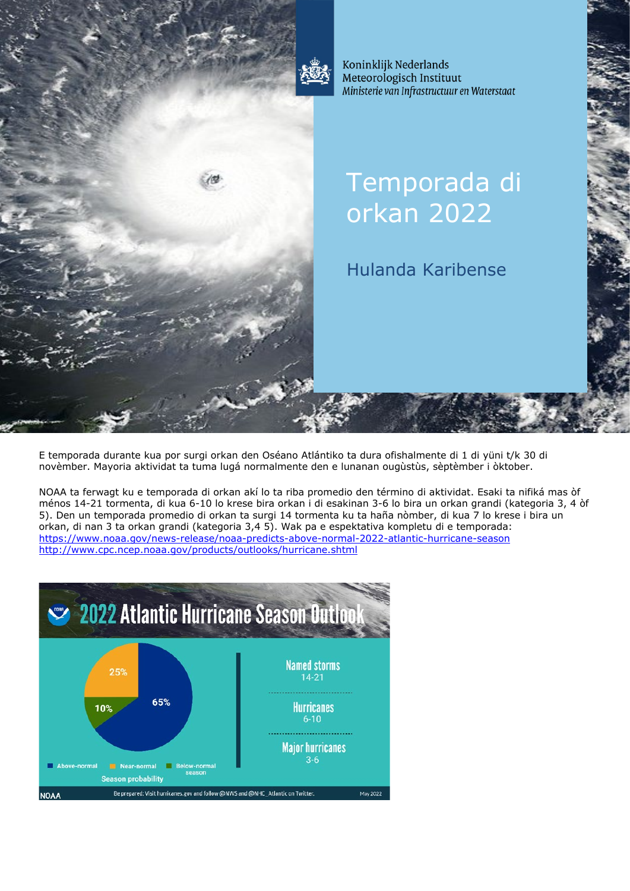

Koninklijk Nederlands Meteorologisch Instituut Ministerie van Infrastructuur en Waterstaat

# Temporada di orkan 2022

# Hulanda Karibense

E temporada durante kua por surgi orkan den Oséano Atlántiko ta dura ofishalmente di 1 di yüni t/k 30 di novèmber. Mayoria aktividat ta tuma lugá normalmente den e lunanan ougùstùs, sèptèmber i òktober.

NOAA ta ferwagt ku e temporada di orkan akí lo ta riba promedio den término di aktividat. Esaki ta nifiká mas òf ménos 14-21 tormenta, di kua 6-10 lo krese bira orkan i di esakinan 3-6 lo bira un orkan grandi (kategoria 3, 4 òf 5). Den un temporada promedio di orkan ta surgi 14 tormenta ku ta haña nòmber, di kua 7 lo krese i bira un orkan, di nan 3 ta orkan grandi (kategoria 3,4 5). Wak pa e espektativa kompletu di e temporada: <https://www.noaa.gov/news-release/noaa-predicts-above-normal-2022-atlantic-hurricane-season> <http://www.cpc.ncep.noaa.gov/products/outlooks/hurricane.shtml>

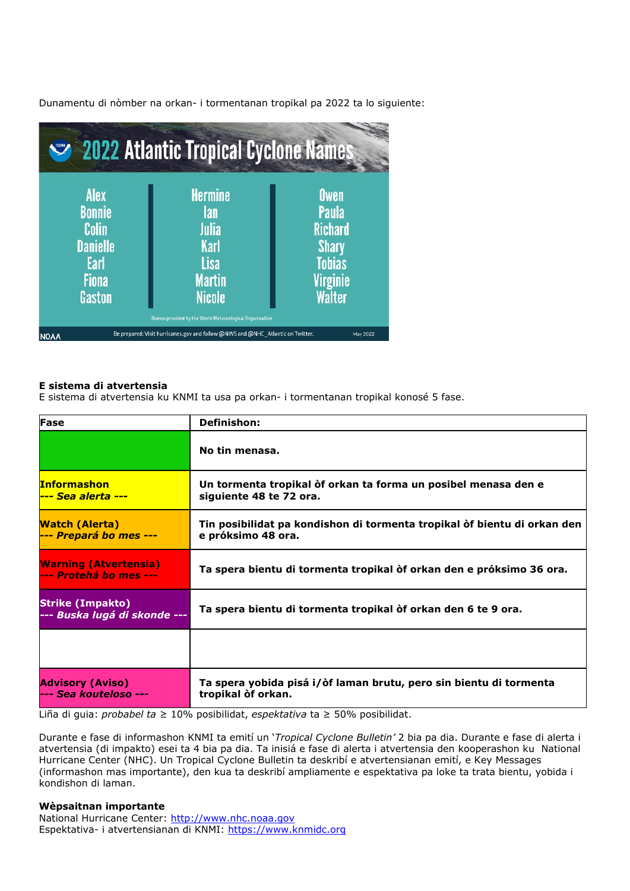Dunamentu di nòmber na orkan- i tormentanan tropikal pa 2022 ta lo siguiente:

| 2022 Atlantic Tropical Cyclone Names                                                       |                                                                                                                                                           |                                                                                                             |
|--------------------------------------------------------------------------------------------|-----------------------------------------------------------------------------------------------------------------------------------------------------------|-------------------------------------------------------------------------------------------------------------|
| <b>Alex</b><br><b>Bonnie</b><br>Colin<br><b>Danielle</b><br>Earl<br><b>Fiona</b><br>Gaston | <b>Hermine</b><br>lan<br>Julia<br><b>Karl</b><br><b>Lisa</b><br><b>Martin</b><br><b>Nicole</b><br>Names provided by the World Meteorological Organization | Owen<br><b>Paula</b><br><b>Richard</b><br><b>Shary</b><br><b>Tobias</b><br><b>Virginie</b><br><b>Walter</b> |
| <b>NOAA</b>                                                                                | Be prepared: Visit hurricanes.gov and follow @NWS and @NHC Atlantic on Twitter.                                                                           | May 2022                                                                                                    |

# **E sistema di atvertensia**

E sistema di atvertensia ku KNMI ta usa pa orkan- i tormentanan tropikal konosé 5 fase.

| Fase                                                    | <b>Definishon:</b>                                                                             |  |
|---------------------------------------------------------|------------------------------------------------------------------------------------------------|--|
|                                                         | No tin menasa.                                                                                 |  |
| <b>Informashon</b>                                      | Un tormenta tropikal òf orkan ta forma un posibel menasa den e<br>siguiente 48 te 72 ora.      |  |
| <b>Watch (Alerta)</b><br>--- Prepará bo mes ---         | Tin posibilidat pa kondishon di tormenta tropikal òf bientu di orkan den<br>e próksimo 48 ora. |  |
| <b>Warning (Atvertensia)</b><br>--- Protehá bo mes ---  | Ta spera bientu di tormenta tropikal òf orkan den e próksimo 36 ora.                           |  |
| <b>Strike (Impakto)</b><br>--- Buska lugá di skonde --- | Ta spera bientu di tormenta tropikal òf orkan den 6 te 9 ora.                                  |  |
|                                                         |                                                                                                |  |
| <b>Advisory (Aviso)</b><br>--- Sea kouteloso ---        | Ta spera yobida pisá i/òf laman brutu, pero sin bientu di tormenta<br>tropikal òf orkan.       |  |

Liña di guia: *probabel ta* ≥ 10% posibilidat, *espektativa* ta ≥ 50% posibilidat.

Durante e fase di informashon KNMI ta emití un '*Tropical Cyclone Bulletin'* 2 bia pa dia. Durante e fase di alerta i atvertensia (di impakto) esei ta 4 bia pa dia. Ta inisiá e fase di alerta i atvertensia den kooperashon ku National Hurricane Center (NHC). Un Tropical Cyclone Bulletin ta deskribí e atvertensianan emití, e Key Messages (informashon mas importante), den kua ta deskribí ampliamente e espektativa pa loke ta trata bientu, yobida i kondishon di laman.

# **Wèpsaitnan importante**

National Hurricane Center: [http://www.nhc.noaa.gov](http://www.nhc.noaa.gov/) Espektativa- i atvertensianan di KNMI: [https://www.knmidc.org](https://www.knmidc.org/)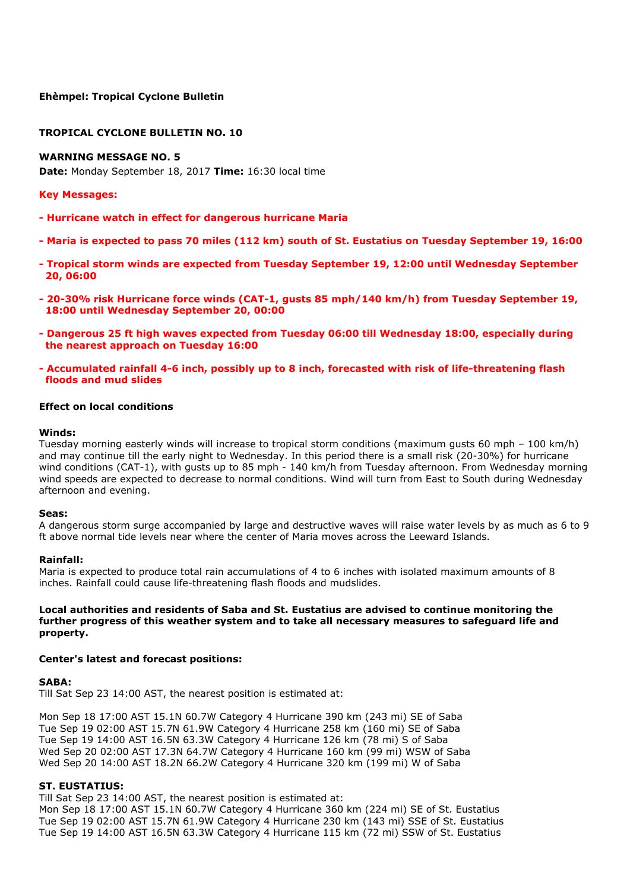# **Ehèmpel: Tropical Cyclone Bulletin**

# **TROPICAL CYCLONE BULLETIN NO. 10**

### **WARNING MESSAGE NO. 5**

**Date:** Monday September 18, 2017 **Time:** 16:30 local time

#### **Key Messages:**

- **- Hurricane watch in effect for dangerous hurricane Maria**
- **- Maria is expected to pass 70 miles (112 km) south of St. Eustatius on Tuesday September 19, 16:00**
- **- Tropical storm winds are expected from Tuesday September 19, 12:00 until Wednesday September 20, 06:00**
- **- 20-30% risk Hurricane force winds (CAT-1, gusts 85 mph/140 km/h) from Tuesday September 19, 18:00 until Wednesday September 20, 00:00**
- **- Dangerous 25 ft high waves expected from Tuesday 06:00 till Wednesday 18:00, especially during the nearest approach on Tuesday 16:00**
- **- Accumulated rainfall 4-6 inch, possibly up to 8 inch, forecasted with risk of life-threatening flash floods and mud slides**

#### **Effect on local conditions**

#### **Winds:**

Tuesday morning easterly winds will increase to tropical storm conditions (maximum gusts 60 mph – 100 km/h) and may continue till the early night to Wednesday. In this period there is a small risk (20-30%) for hurricane wind conditions (CAT-1), with gusts up to 85 mph - 140 km/h from Tuesday afternoon. From Wednesday morning wind speeds are expected to decrease to normal conditions. Wind will turn from East to South during Wednesday afternoon and evening.

#### **Seas:**

A dangerous storm surge accompanied by large and destructive waves will raise water levels by as much as 6 to 9 ft above normal tide levels near where the center of Maria moves across the Leeward Islands.

#### **Rainfall:**

Maria is expected to produce total rain accumulations of 4 to 6 inches with isolated maximum amounts of 8 inches. Rainfall could cause life-threatening flash floods and mudslides.

#### **Local authorities and residents of Saba and St. Eustatius are advised to continue monitoring the further progress of this weather system and to take all necessary measures to safeguard life and property.**

#### **Center's latest and forecast positions:**

#### **SABA:**

Till Sat Sep 23 14:00 AST, the nearest position is estimated at:

Mon Sep 18 17:00 AST 15.1N 60.7W Category 4 Hurricane 390 km (243 mi) SE of Saba Tue Sep 19 02:00 AST 15.7N 61.9W Category 4 Hurricane 258 km (160 mi) SE of Saba Tue Sep 19 14:00 AST 16.5N 63.3W Category 4 Hurricane 126 km (78 mi) S of Saba Wed Sep 20 02:00 AST 17.3N 64.7W Category 4 Hurricane 160 km (99 mi) WSW of Saba Wed Sep 20 14:00 AST 18.2N 66.2W Category 4 Hurricane 320 km (199 mi) W of Saba

#### **ST. EUSTATIUS:**

Till Sat Sep 23 14:00 AST, the nearest position is estimated at: Mon Sep 18 17:00 AST 15.1N 60.7W Category 4 Hurricane 360 km (224 mi) SE of St. Eustatius Tue Sep 19 02:00 AST 15.7N 61.9W Category 4 Hurricane 230 km (143 mi) SSE of St. Eustatius Tue Sep 19 14:00 AST 16.5N 63.3W Category 4 Hurricane 115 km (72 mi) SSW of St. Eustatius